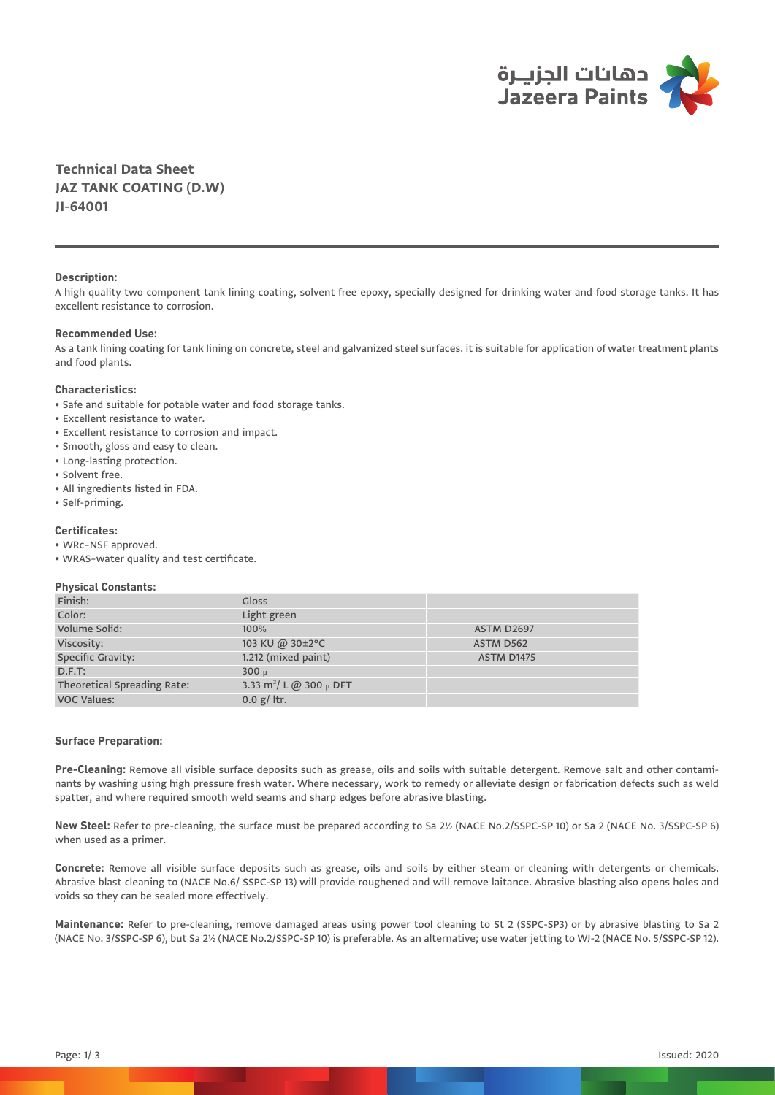

**Technical Data Sheet JAZ TANK COATING (D.W) JI-64001**

#### **Description:**

A high quality two component tank lining coating, solvent free epoxy, specially designed for drinking water and food storage tanks. It has excellent resistance to corrosion.

# **Recommended Use:**

As a tank lining coating for tank lining on concrete, steel and galvanized steel surfaces. it is suitable for application of water treatment plants and food plants.

# **Characteristics:**

- Safe and suitable for potable water and food storage tanks.
- Excellent resistance to water.
- Excellent resistance to corrosion and impact.
- Smooth, gloss and easy to clean.
- Long-lasting protection.
- Solvent free.
- All ingredients listed in FDA.
- Self-priming.

# **Certificates:**

- WRc–NSF approved.
- WRAS–water quality and test certificate.

### **Physical Constants:**

| Finish:                     | Gloss                                   |                   |
|-----------------------------|-----------------------------------------|-------------------|
| Color:                      | Light green                             |                   |
| Volume Solid:               | 100%                                    | <b>ASTM D2697</b> |
| Viscosity:                  | 103 KU @ 30±2°C                         | ASTM D562         |
| Specific Gravity:           | 1.212 (mixed paint)                     | <b>ASTM D1475</b> |
| $D.F.T$ :                   | $300 \mu$                               |                   |
| Theoretical Spreading Rate: | 3.33 m <sup>2</sup> / L @ 300 $\mu$ DFT |                   |
| <b>VOC Values:</b>          | 0.0 $g/$ ltr.                           |                   |

### **Surface Preparation:**

**Pre-Cleaning:** Remove all visible surface deposits such as grease, oils and soils with suitable detergent. Remove salt and other contaminants by washing using high pressure fresh water. Where necessary, work to remedy or alleviate design or fabrication defects such as weld spatter, and where required smooth weld seams and sharp edges before abrasive blasting.

**New Steel:** Refer to pre-cleaning, the surface must be prepared according to Sa 2½ (NACE No.2/SSPC-SP 10) or Sa 2 (NACE No. 3/SSPC-SP 6) when used as a primer.

**Concrete:** Remove all visible surface deposits such as grease, oils and soils by either steam or cleaning with detergents or chemicals. Abrasive blast cleaning to (NACE No.6/ SSPC-SP 13) will provide roughened and will remove laitance. Abrasive blasting also opens holes and voids so they can be sealed more effectively.

**Maintenance:** Refer to pre-cleaning, remove damaged areas using power tool cleaning to St 2 (SSPC-SP3) or by abrasive blasting to Sa 2 (NACE No. 3/SSPC-SP 6), but Sa 2½ (NACE No.2/SSPC-SP 10) is preferable. As an alternative; use water jetting to WJ-2 (NACE No. 5/SSPC-SP 12).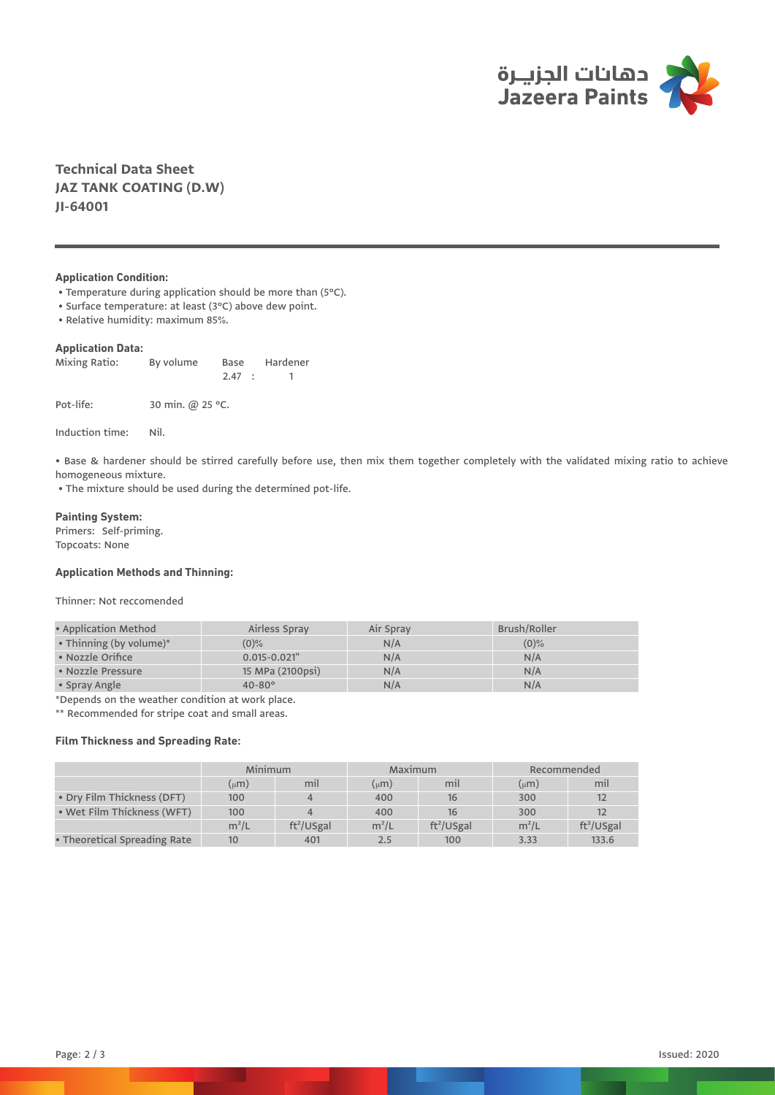

**Technical Data Sheet JAZ TANK COATING (D.W) JI-64001**

# **Application Condition:**

- Temperature during application should be more than (5°C).
- Surface temperature: at least (3°C) above dew point.
- Relative humidity: maximum 85%.

# **Application Data:**

| Mixing Ratio: | By volume        | Base   | Hardener |
|---------------|------------------|--------|----------|
|               |                  | 2.47 : |          |
| Pot-life:     | 30 min. @ 25 °C. |        |          |

Induction time: Nil.

• Base & hardener should be stirred carefully before use, then mix them together completely with the validated mixing ratio to achieve homogeneous mixture.

• The mixture should be used during the determined pot-life.

#### **Painting System:**

Primers: Self-priming. Topcoats: None

# **Application Methods and Thinning:**

Thinner: Not reccomended

| • Application Method       | Airless Spray     | Air Spray | Brush/Roller |
|----------------------------|-------------------|-----------|--------------|
| • Thinning (by volume) $*$ | $(0)\%$           | N/A       | $(0)$ %      |
| • Nozzle Orifice           | $0.015 - 0.021$ " | N/A       | N/A          |
| • Nozzle Pressure          | 15 MPa (2100psi)  | N/A       | N/A          |
| • Spray Angle              | $40 - 80^{\circ}$ | N/A       | N/A          |

\*Depends on the weather condition at work place.

\*\* Recommended for stripe coat and small areas.

# **Film Thickness and Spreading Rate:**

|                              | Minimum       |              | Maximum  |              | Recommended |              |
|------------------------------|---------------|--------------|----------|--------------|-------------|--------------|
|                              | (µ <b>m</b> ) | mil          | $\mu(m)$ | mil          | $\mu$ m     | mil          |
| • Dry Film Thickness (DFT)   | 100           |              | 400      | 16           | 300         | 12           |
| • Wet Film Thickness (WFT)   | 100           |              | 400      | 16           | 300         | 12           |
|                              | $m^2/L$       | $ft^2/USgal$ | $m^2/L$  | $ft^2/USgal$ | $m^2/L$     | $ft^2/USgal$ |
| • Theoretical Spreading Rate | 10            | 401          | 2.5      | 100          | 3.33        | 133.6        |